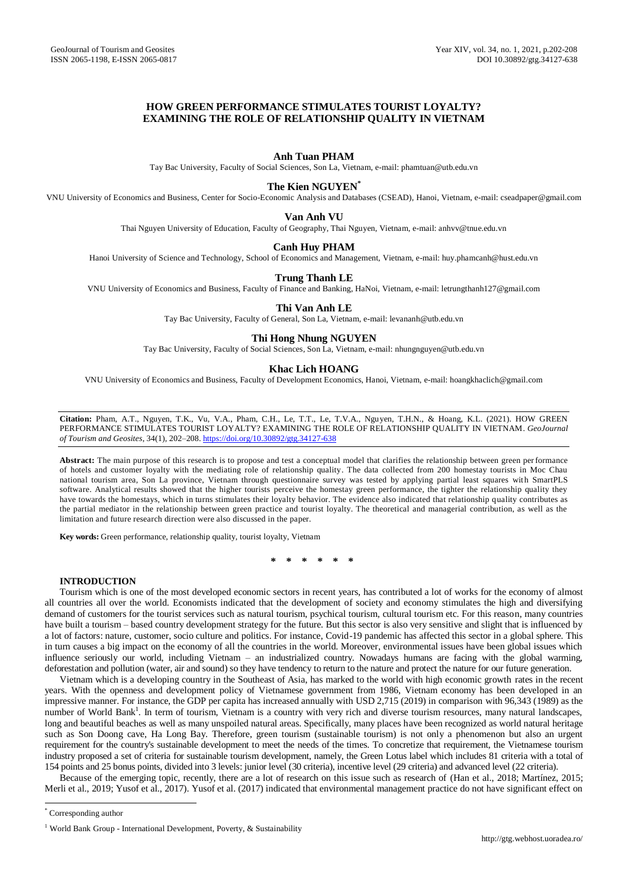# **HOW GREEN PERFORMANCE STIMULATES TOURIST LOYALTY? EXAMINING THE ROLE OF RELATIONSHIP QUALITY IN VIETNAM**

# **Anh Tuan PHAM**

Tay Bac University, Faculty of Social Sciences, Son La, Vietnam, e-mail[: phamtuan@utb.edu.vn](mailto:phamtuan@utb.edu.vn)

# **The Kien NGUYEN\***

VNU University of Economics and Business, Center for Socio-Economic Analysis and Databases (CSEAD), Hanoi, Vietnam, e-mail[: cseadpaper@gmail.com](mailto:cseadpaper@gmail.com)

## **Van Anh VU**

Thai Nguyen University of Education, Faculty of Geography, Thai Nguyen, Vietnam, e-mail: [anhvv@tnue.edu.vn](mailto:anhvv@tnue.edu.vn)

# **Canh Huy PHAM**

Hanoi University of Science and Technology, School of Economics and Management, Vietnam, e-mail[: huy.phamcanh@hust.edu.vn](mailto:huy.phamcanh@hust.edu.vn)

### **Trung Thanh LE**

VNU University of Economics and Business, Faculty of Finance and Banking, HaNoi, Vietnam, e-mail[: letrungthanh127@gmail.com](mailto:letrungthanh127@gmail.com)

# **Thi Van Anh LE**

Tay Bac University, Faculty of General, Son La, Vietnam, e-mail[: levananh@utb.edu.vn](mailto:levananh@utb.edu.vn)

# **Thi Hong Nhung NGUYEN**

Tay Bac University, Faculty of Social Sciences, Son La, Vietnam, e-mail[: nhungnguyen@utb.edu.vn](mailto:nhungnguyen@utb.edu.vn)

# **Khac Lich HOANG**

VNU University of Economics and Business, Faculty of Development Economics, Hanoi, Vietnam, e-mail: hoangkhaclich@gmail.com

**Citation:** Pham, A.T., Nguyen, T.K., Vu, V.A., Pham, C.H., Le, T.T., Le, T.V.A., Nguyen, T.H.N., & Hoang, K.L. (2021). HOW GREEN PERFORMANCE STIMULATES TOURIST LOYALTY? EXAMINING THE ROLE OF RELATIONSHIP QUALITY IN VIETNAM. *GeoJournal of Tourism and Geosites*, 34(1), 202–208. <https://doi.org/10.30892/gtg.34127-638>

**Abstract:** The main purpose of this research is to propose and test a conceptual model that clarifies the relationship between green performance of hotels and customer loyalty with the mediating role of relationship quality. The data collected from 200 homestay tourists in Moc Chau national tourism area, Son La province, Vietnam through questionnaire survey was tested by applying partial least squares with SmartPLS software. Analytical results showed that the higher tourists perceive the homestay green performance, the tighter the relationship quality they have towards the homestays, which in turns stimulates their loyalty behavior. The evidence also indicated that relationship quality contributes as the partial mediator in the relationship between green practice and tourist loyalty. The theoretical and managerial contribution, as well as the limitation and future research direction were also discussed in the paper.

**Key words:** Green performance, relationship quality, tourist loyalty, Vietnam

**\* \* \* \* \* \***

# **INTRODUCTION**

Tourism which is one of the most developed economic sectors in recent years, has contributed a lot of works for the economy of almost all countries all over the world. Economists indicated that the development of society and economy stimulates the high and diversifying demand of customers for the tourist services such as natural tourism, psychical tourism, cultural tourism etc. For this reason, many countries have built a tourism – based country development strategy for the future. But this sector is also very sensitive and slight that is influenced by a lot of factors: nature, customer, socio culture and politics. For instance, Covid-19 pandemic has affected this sector in a global sphere. This in turn causes a big impact on the economy of all the countries in the world. Moreover, environmental issues have been global issues which influence seriously our world, including Vietnam – an industrialized country. Nowadays humans are facing with the global warming, deforestation and pollution (water, air and sound) so they have tendency to return to the nature and protect the nature for our future generation.

Vietnam which is a developing country in the Southeast of Asia, has marked to the world with high economic growth rates in the recent years. With the openness and development policy of Vietnamese government from 1986, Vietnam economy has been developed in an impressive manner. For instance, the GDP per capita has increased annually with USD 2,715 (2019) in comparison with 96,343 (1989) as the number of World Bank<sup>1</sup>. In term of tourism, Vietnam is a country with very rich and diverse tourism resources, many natural landscapes, long and beautiful beaches as well as many unspoiled natural areas. Specifically, many places have been recognized as world natural heritage such as Son Doong cave, Ha Long Bay. Therefore, green tourism (sustainable tourism) is not only a phenomenon but also an urgent requirement for the country's sustainable development to meet the needs of the times. To concretize that requirement, the Vietnamese tourism industry proposed a set of criteria for sustainable tourism development, namely, the Green Lotus label which includes 81 criteria with a total of 154 points and 25 bonus points, divided into 3 levels: junior level (30 criteria), incentive level (29 criteria) and advanced level (22 criteria).

Because of the emerging topic, recently, there are a lot of research on this issue such as research of [\(Han et al., 2018;](#page-5-0) [Martínez, 2015;](#page-5-1)  [Merli et al., 2019;](#page-5-2) [Yusof et al., 2017\)](#page-6-0). Yusof et al. (2017) indicated that environmental management practice do not have significant effect on

 $\overline{\phantom{a}}$ 

<sup>\*</sup> Corresponding author

<sup>&</sup>lt;sup>1</sup> World Bank Group - [International Development, Poverty, & Sustainability](https://www.worldbank.org/)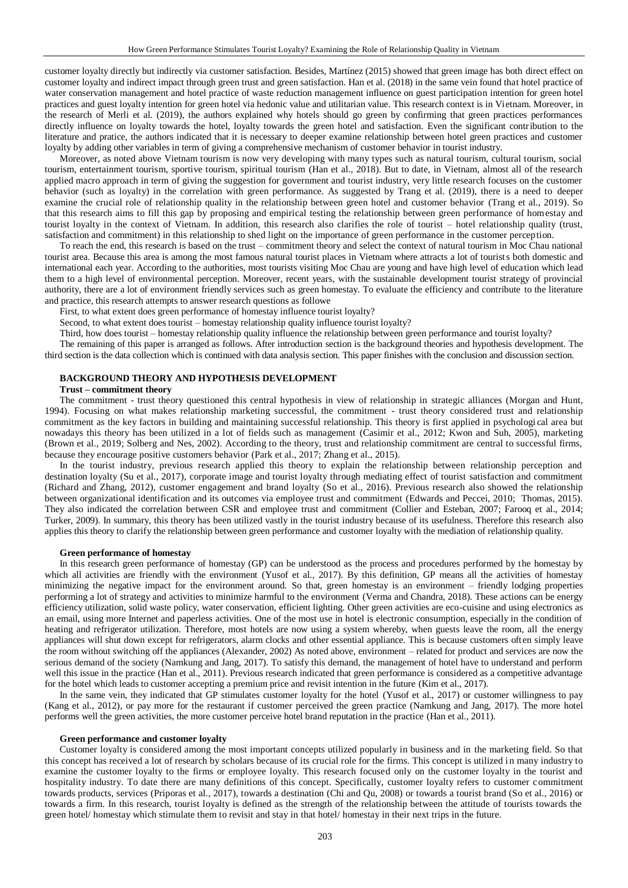customer loyalty directly but indirectly via customer satisfaction. Besides, Martínez (2015) showed that green image has both direct effect on customer loyalty and indirect impact through green trust and green satisfaction. Han et al. (2018) in the same vein found that hotel practice of water conservation management and hotel practice of waste reduction management influence on guest participation intention for green hotel practices and guest loyalty intention for green hotel via hedonic value and utilitarian value. This research context is in Vietnam. Moreover, in the research of [Merli et al. \(2019\)](#page-5-3), the authors explained why hotels should go green by confirming that green practices performances directly influence on loyalty towards the hotel, loyalty towards the green hotel and satisfaction. Even the significant contribution to the literature and pratice, the authors indicated that it is necessary to deeper examine relationship between hotel green practices and customer loyalty by adding other variables in term of giving a comprehensive mechanism of customer behavior in tourist industry.

Moreover, as noted above Vietnam tourism is now very developing with many types such as natural tourism, cultural tourism, social tourism, entertainment tourism, sportive tourism, spiritual tourism [\(Han et al., 2018\)](#page-5-0). But to date, in Vietnam, almost all of the research applied macro approach in term of giving the suggestion for government and tourist industry, very little research focuses on the customer behavior (such as loyalty) in the correlation with green performance. As suggested by Trang et al. (2019), there is a need to deeper examine the crucial role of relationship quality in the relationship between green hotel and customer behavior [\(Trang et al., 2019\)](#page-6-1). So that this research aims to fill this gap by proposing and empirical testing the relationship between green performance of homestay and tourist loyalty in the context of Vietnam. In addition, this research also clarifies the role of tourist – hotel relationship quality (trust, satisfaction and commitment) in this relationship to shed light on the importance of green performance in the customer perception.

To reach the end, this research is based on the trust – commitment theory and select the context of natural tourism in Moc Chau national tourist area. Because this area is among the most famous natural tourist places in Vietnam where attracts a lot of tourists both domestic and international each year. According to the authorities, most tourists visiting Moc Chau are young and have high level of education which lead them to a high level of environmental perception. Moreover, recent years, with the sustainable development tourist strategy of provincial authority, there are a lot of environment friendly services such as green homestay. To evaluate the efficiency and contribute to the literature and practice, this research attempts to answer research questions as followe

First, to what extent does green performance of homestay influence tourist loyalty?

Second, to what extent does tourist – homestay relationship quality influence tourist loyalty?

Third, how does tourist – homestay relationship quality influence the relationship between green performance and tourist loyalty?

The remaining of this paper is arranged as follows. After introduction section is the background theories and hypothesis development. The third section is the data collection which is continued with data analysis section. This paper finishes with the conclusion and discussion section.

# **BACKGROUND THEORY AND HYPOTHESIS DEVELOPMENT**

#### **Trust – commitment theory**

The commitment - trust theory questioned this central hypothesis in view of relationship in strategic alliances [\(Morgan and](#page-5-4) Hunt, [1994\)](#page-5-4). Focusing on what makes relationship marketing successful, the commitment - trust theory considered trust and relationship commitment as the key factors in building and maintaining successful relationship. This theory is first applied in psychologi cal area but nowadays this theory has been utilized in a lot of fields such as management [\(Casimir et al., 2012;](#page-5-3) Kwon and [Suh, 2005\)](#page-5-5), marketing [\(Brown et al., 2019;](#page-5-6) [Solberg and](#page-6-2) Nes, 2002). According to the theory, trust and relationship commitment are central to successful firms, because they encourage positive customers behavior (Park [et al., 2017;](#page-6-3) Zhang [et al., 2015\)](#page-6-4).

In the tourist industry, previous research applied this theory to explain the relationship between relationship perception and destination loyalty (Su [et al., 2017\)](#page-6-5), corporate image and tourist loyalty through mediating effect of tourist satisfaction and commitment (Richard and [Zhang, 2012\)](#page-6-6), customer engagement and brand loyalty [\(So et al., 2016\)](#page-6-7). Previous research also showed the relationship between organizational identification and its outcomes via employee trust and commitment (Edwards and [Peccei, 2010;](#page-5-7) [Thomas,](#page-6-1) 2015). They also indicated the correlation between CSR and employee trust and commitment (Collier and [Esteban, 2007;](#page-5-8) [Farooq et al., 2014;](#page-5-9)  [Turker, 2009\)](#page-6-8). In summary, this theory has been utilized vastly in the tourist industry because of its usefulness. Therefore this research also applies this theory to clarify the relationship between green performance and customer loyalty with the mediation of relationship quality.

#### **Green performance of homestay**

In this research green performance of homestay (GP) can be understood as the process and procedures performed by the homestay by which all activities are friendly with the environment [\(Yusof et al., 2017\)](#page-6-0). By this definition, GP means all the activities of homestay minimizing the negative impact for the environment around. So that, green homestay is an environment – friendly lodging properties performing a lot of strategy and activities to minimize harmful to the environment (Verma and [Chandra, 2018\)](#page-6-9). These actions can be energy efficiency utilization, solid waste policy, water conservation, efficient lighting. Other green activities are eco-cuisine and using electronics as an email, using more Internet and paperless activities. One of the most use in hotel is electronic consumption, especially in the condition of heating and refrigerator utilization. Therefore, most hotels are now using a system whereby, when guests leave the room, all the energy appliances will shut down except for refrigerators, alarm clocks and other essential appliance. This is because customers often simply leave the room without switching off the appliances (Alexander, 2002) As noted above, environment – related for product and services are now the serious demand of the society [\(Namkung and](#page-5-10) Jang, 2017). To satisfy this demand, the management of hotel have to understand and perform well this issue in the practice [\(Han et al., 2011\)](#page-5-11). Previous research indicated that green performance is considered as a competitive advantage for the hotel which leads to customer accepting a premium price and revisit intention in the future [\(Kim et al.,](#page-5-12) 2017).

In the same vein, they indicated that GP stimulates customer loyalty for the hotel [\(Yusof et al., 2017\)](#page-6-0) or customer willingness to pay [\(Kang et al., 2012\)](#page-5-13), or pay more for the restaurant if customer perceived the green practice [\(Namkung and](#page-5-10) Jang, 2017). The more hotel performs well the green activities, the more customer perceive hotel brand reputation in the practice [\(Han et al., 2011\)](#page-5-11).

#### **Green performance and customer loyalty**

Customer loyalty is considered among the most important concepts utilized popularly in business and in the marketing field. So that this concept has received a lot of research by scholars because of its crucial role for the firms. This concept is utilized in many industry to examine the customer loyalty to the firms or employee loyalty. This research focused only on the customer loyalty in the tourist and hospitality industry. To date there are many definitions of this concept. Specifically, customer loyalty refers to customer commitment towards products, services [\(Priporas et al., 2017\)](#page-6-10), towards a destination (Chi and [Qu, 2008\)](#page-5-14) or towards a tourist brand [\(So et al., 2016\)](#page-6-7) or towards a firm. In this research, tourist loyalty is defined as the strength of the relationship between the attitude of tourists towards the green hotel/ homestay which stimulate them to revisit and stay in that hotel/ homestay in their next trips in the future.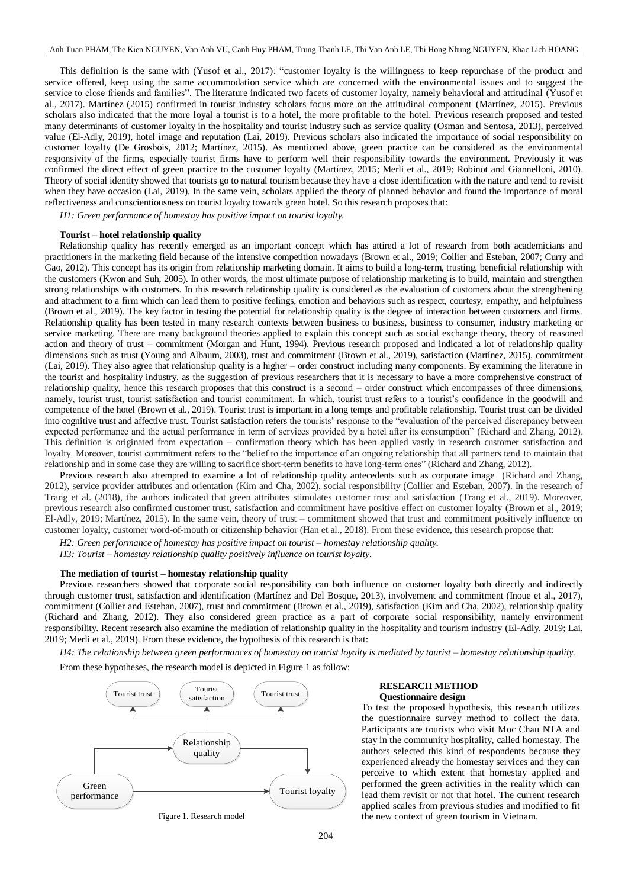This definition is the same with [\(Yusof et al., 2017\)](#page-6-0): "customer loyalty is the willingness to keep repurchase of the product and service offered, keep using the same accommodation service which are concerned with the environmental issues and to suggest the service to close friends and families". The literature indicated two facets of customer loyalty, namely behavioral and attitudinal [\(Yusof et](#page-6-0)  [al., 2017\)](#page-6-0). Martínez (2015) confirmed in tourist industry scholars focus more on the attitudinal component [\(Martínez, 2015\)](#page-5-1). Previous scholars also indicated that the more loyal a tourist is to a hotel, the more profitable to the hotel. Previous research proposed and tested many determinants of customer loyalty in the hospitality and tourist industry such as service quality (Osman and [Sentosa, 2013\)](#page-6-11), perceived value [\(El-Adly, 2019\)](#page-5-15), hotel image and reputation [\(Lai, 2019\)](#page-5-16). Previous scholars also indicated the importance of social responsibility on customer loyalty [\(De Grosbois, 2012;](#page-5-17) [Martínez, 2015\)](#page-5-1). As mentioned above, green practice can be considered as the environmental responsivity of the firms, especially tourist firms have to perform well their responsibility towards the environment. Previously it was confirmed the direct effect of green practice to the customer loyalty [\(Martínez, 2015;](#page-5-1) [Merli et al., 2019;](#page-5-2) Robinot and [Giannelloni, 2010\)](#page-6-12). Theory of social identity showed that tourists go to natural tourism because they have a close identification with the nature and tend to revisit when they have occasion [\(Lai, 2019\)](#page-5-16). In the same vein, scholars applied the theory of planned behavior and found the importance of moral reflectiveness and conscientiousness on tourist loyalty towards green hotel. So this research proposes that:

*H1: Green performance of homestay has positive impact on tourist loyalty.*

# **Tourist – hotel relationship quality**

Relationship quality has recently emerged as an important concept which has attired a lot of research from both academicians and practitioners in the marketing field because of the intensive competition nowadays [\(Brown et al., 2019;](#page-5-6) Collier and [Esteban, 2007;](#page-5-8) [Curry and](#page-5-18) [Gao, 2012\)](#page-5-18). This concept has its origin from relationship marketing domain. It aims to build a long-term, trusting, beneficial relationship with the customers [\(Kwon and](#page-5-5) Suh, 2005). In other words, the most ultimate purpose of relationship marketing is to build, maintain and strengthen strong relationships with customers. In this research relationship quality is considered as the evaluation of customers about the strengthening and attachment to a firm which can lead them to positive feelings, emotion and behaviors such as respect, courtesy, empathy, and helpfulness [\(Brown et al., 2019\)](#page-5-6). The key factor in testing the potential for relationship quality is the degree of interaction between customers and firms. Relationship quality has been tested in many research contexts between business to business, business to consumer, industry marketing or service marketing. There are many background theories applied to explain this concept such as social exchange theory, theory of reasoned action and theory of trust – commitment [\(Morgan and](#page-5-4) Hunt, 1994). Previous research proposed and indicated a lot of relationship quality dimensions such as trust (Young and [Albaum, 2003\)](#page-6-13), trust and commitment [\(Brown et al., 2019\)](#page-5-6), satisfaction [\(Martínez, 2015\)](#page-5-1), commitment [\(Lai, 2019\)](#page-5-16). They also agree that relationship quality is a higher – order construct including many components. By examining the literature in the tourist and hospitality industry, as the suggestion of previous researchers that it is necessary to have a more comprehensive construct of relationship quality, hence this research proposes that this construct is a second – order construct which encompasses of three dimensions, namely, tourist trust, tourist satisfaction and tourist commitment. In which, tourist trust refers to a tourist's confidence in the goodwill and competence of the hotel [\(Brown et al., 2019\)](#page-5-6). Tourist trust is important in a long temps and profitable relationship. Tourist trust can be divided into cognitive trust and affective trust. Tourist satisfaction refers the tourists' response to the "evaluation of the perceived discrepancy between expected performance and the actual performance in term of services provided by a hotel after its consumption" (Richard and [Zhang, 2012\)](#page-6-6). This definition is originated from expectation – confirmation theory which has been applied vastly in research customer satisfaction and loyalty. Moreover, tourist commitment refers to the "belief to the importance of an ongoing relationship that all partners tend to maintain that relationship and in some case they are willing to sacrifice short-term benefits to have long-term ones" (Richard and [Zhang, 2012\)](#page-6-6).

Previous research also attempted to examine a lot of relationship quality antecedents such as corporate image [\(Richard and](#page-6-6) Zhang, [2012\)](#page-6-6), service provider attributes and orientation (Kim and [Cha, 2002\)](#page-5-19), social responsibility (Collier and [Esteban, 2007\)](#page-5-8). In the research of Trang et al. (2018), the authors indicated that green attributes stimulates customer trust and satisfaction [\(Trang et al., 2019\)](#page-6-1). Moreover, previous research also confirmed customer trust, satisfaction and commitment have positive effect on customer loyalty [\(Brown et al., 2019;](#page-5-6)  [El-Adly, 2019;](#page-5-15) [Martínez, 2015\)](#page-5-1). In the same vein, theory of trust – commitment showed that trust and commitment positively influence on customer loyalty, customer word-of-mouth or citizenship behavior [\(Han et al., 2018\)](#page-5-0). From these evidence, this research propose that:

*H2: Green performance of homestay has positive impact on tourist – homestay relationship quality.* 

*H3: Tourist – homestay relationship quality positively influence on tourist loyalty.*

# **The mediation of tourist – homestay relationship quality**

Previous researchers showed that corporate social responsibility can both influence on customer loyalty both directly and indirectly through customer trust, satisfaction and identification (Martínez and [Del Bosque, 2013\)](#page-5-20), involvement and commitment [\(Inoue et al.,](#page-5-21) 2017), commitment (Collier and [Esteban, 2007\)](#page-5-8), trust and commitment [\(Brown et al., 2019\)](#page-5-6), satisfaction (Kim and [Cha, 2002\)](#page-5-19), relationship quality (Richard and [Zhang, 2012\)](#page-6-6). They also considered green practice as a part of corporate social responsibility, namely environment responsibility. Recent research also examine the mediation of relationship quality in the hospitality and tourism industry [\(El-Adly, 2019;](#page-5-15) [Lai,](#page-5-16)  [2019;](#page-5-16) [Merli et al., 2019\)](#page-5-2). From these evidence, the hypothesis of this research is that:

*H4: The relationship between green performances of homestay on tourist loyalty is mediated by tourist – homestay relationship quality.* 

From these hypotheses, the research model is depicted in Figure 1 as follow:



### **RESEARCH METHOD Questionnaire design**

To test the proposed hypothesis, this research utilizes the questionnaire survey method to collect the data. Participants are tourists who visit Moc Chau NTA and stay in the community hospitality, called homestay. The authors selected this kind of respondents because they experienced already the homestay services and they can perceive to which extent that homestay applied and performed the green activities in the reality which can lead them revisit or not that hotel. The current research applied scales from previous studies and modified to fit the new context of green tourism in Vietnam.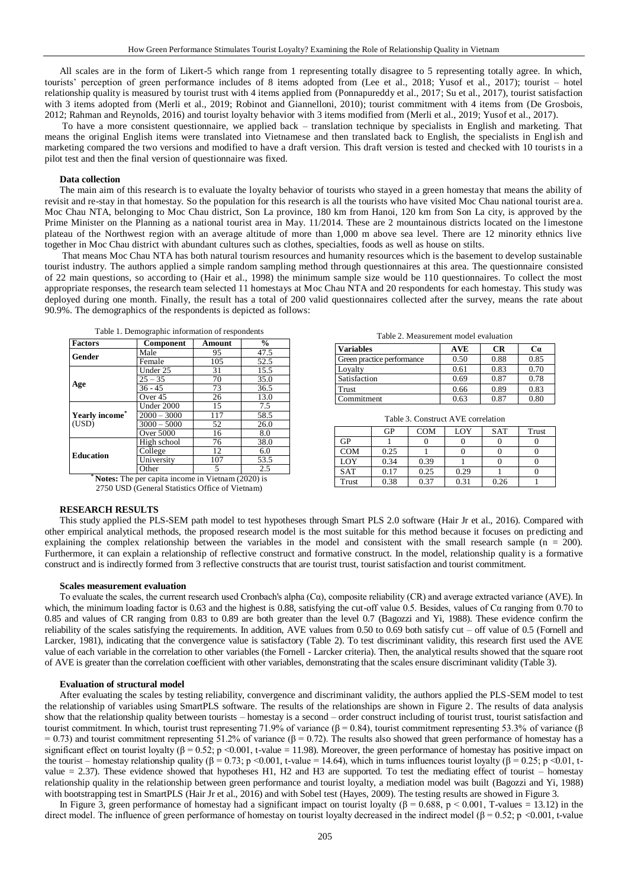All scales are in the form of Likert-5 which range from 1 representing totally disagree to 5 representing totally agree. In which, tourists' perception of green performance includes of 8 items adopted from [\(Lee et al., 2018;](#page-5-22) [Yusof et al., 2017\)](#page-6-0); tourist – hotel relationship quality is measured by tourist trust with 4 items applied from [\(Ponnapureddy et al., 2017;](#page-6-14) [Su et al., 2017\)](#page-6-5), tourist satisfaction with 3 items adopted from [\(Merli et al., 2019;](#page-5-2) Robinot and [Giannelloni, 2010\)](#page-6-12); tourist commitment with 4 items from (De Grosbois, [2012;](#page-5-17) Rahman and [Reynolds, 2016\)](#page-6-15) and tourist loyalty behavior with 3 items modified from [\(Merli et al., 2019;](#page-5-2) [Yusof et al., 2017\)](#page-6-0).

To have a more consistent questionnaire, we applied back – translation technique by specialists in English and marketing. That means the original English items were translated into Vietnamese and then translated back to English, the specialists in English and marketing compared the two versions and modified to have a draft version. This draft version is tested and checked with 10 tourists in a pilot test and then the final version of questionnaire was fixed.

#### **Data collection**

The main aim of this research is to evaluate the loyalty behavior of tourists who stayed in a green homestay that means the ability of revisit and re-stay in that homestay. So the population for this research is all the tourists who have visited Moc Chau national tourist are a. Moc Chau NTA, belonging to Moc Chau district, Son La province, 180 km from Hanoi, 120 km from Son La city, is approved by the Prime Minister on the Planning as a national tourist area in May. 11/2014. These are 2 mountainous districts located on the limestone plateau of the Northwest region with an average altitude of more than 1,000 m above sea level. There are 12 minority ethnics live together in Moc Chau district with abundant cultures such as clothes, specialties, foods as well as house on stilts.

That means Moc Chau NTA has both natural tourism resources and humanity resources which is the basement to develop sustainable tourist industry. The authors applied a simple random sampling method through questionnaires at this area. The questionnaire consisted of 22 main questions, so according to [\(Hair et al., 1998\)](#page-5-23) the minimum sample size would be 110 questionnaires. To collect the most appropriate responses, the research team selected 11 homestays at Moc Chau NTA and 20 respondents for each homestay. This study was deployed during one month. Finally, the result has a total of 200 valid questionnaires collected after the survey, means the rate about 90.9%. The demographics of the respondents is depicted as follows:

| Table 1. Demographic information of respondents |                  |        |      |  |  |  |
|-------------------------------------------------|------------------|--------|------|--|--|--|
| <b>Factors</b>                                  | Component        | Amount | $\%$ |  |  |  |
| Gender                                          | Male             | 95     | 47.5 |  |  |  |
|                                                 | Female           | 105    | 52.5 |  |  |  |
|                                                 | Under 25         | 31     | 15.5 |  |  |  |
|                                                 | $25 - 35$        | 70     | 35.0 |  |  |  |
| Age                                             | $36 - 45$        | 73     | 36.5 |  |  |  |
|                                                 | Over 45          | 26     | 13.0 |  |  |  |
| Yearly income <sup>®</sup><br>(USD)             | Under 2000       | 15     | 7.5  |  |  |  |
|                                                 | $2000 - 3000$    | 117    | 58.5 |  |  |  |
|                                                 | $3000 - 5000$    | 52     | 26.0 |  |  |  |
|                                                 | <b>Over 5000</b> | 16     | 8.0  |  |  |  |
| <b>Education</b>                                | High school      | 76     | 38.0 |  |  |  |
|                                                 | College          | 12     | 6.0  |  |  |  |
|                                                 | University       | 107    | 53.5 |  |  |  |
|                                                 | Other            | 5      | 2.5  |  |  |  |

**Notes:** The per capita income in Vietnam (2020) is 2750 USD (General Statistics Office of Vietnam)

## **RESEARCH RESULTS**

This study applied the PLS-SEM path model to test hypotheses through Smart PLS 2.0 software [\(Hair Jr et al., 2016\)](#page-5-24). Compared with other empirical analytical methods, the proposed research model is the most suitable for this method because it focuses on predicting and explaining the complex relationship between the variables in the model and consistent with the small research sample ( $n = 200$ ). Furthermore, it can explain a relationship of reflective construct and formative construct. In the model, relationship quality is a formative construct and is indirectly formed from 3 reflective constructs that are tourist trust, tourist satisfaction and tourist commitment.

#### **Scales measurement evaluation**

To evaluate the scales, the current research used Cronbach's alpha (Cα), composite reliability (CR) and average extracted variance (AVE). In which, the minimum loading factor is 0.63 and the highest is 0.88, satisfying the cut-off value 0.5. Besides, values of  $C\alpha$  ranging from 0.70 to 0.85 and values of CR ranging from 0.83 to 0.89 are both greater than the level 0.7 [\(Bagozzi and](#page-5-25) Yi, 1988). These evidence confirm the reliability of the scales satisfying the requirements. In addition, AVE values from 0.50 to 0.69 both satisfy cut – off value of 0.5 [\(Fornell and](#page-5-26) [Larcker, 1981\)](#page-5-26), indicating that the convergence value is satisfactory (Table 2). To test discriminant validity, this research first used the AVE value of each variable in the correlation to other variables (the Fornell - Larcker criteria). Then, the analytical results showed that the square root of AVE is greater than the correlation coefficient with other variables, demonstrating that the scales ensure discriminant validity (Table 3).

### **Evaluation of structural model**

After evaluating the scales by testing reliability, convergence and discriminant validity, the authors applied the PLS-SEM model to test the relationship of variables using SmartPLS software. The results of the relationships are shown in Figure 2. The results of data analysis show that the relationship quality between tourists – homestay is a second – order construct including of tourist trust, tourist satisfaction and tourist commitment. In which, tourist trust representing 71.9% of variance (β = 0.84), tourist commitment representing 53.3% of variance (β  $= 0.73$ ) and tourist commitment representing 51.2% of variance (β = 0.72). The results also showed that green performance of homestay has a significant effect on tourist loyalty  $(\beta = 0.52; p \le 0.001, t$ -value = 11.98). Moreover, the green performance of homestay has positive impact on the tourist – homestay relationship quality (β = 0.73; p <0.001, t-value = 14.64), which in turns influences tourist loyalty (β = 0.25; p <0.01, tvalue = 2.37). These evidence showed that hypotheses H1, H2 and H3 are supported. To test the mediating effect of tourist – homestay relationship quality in the relationship between green performance and tourist loyalty, a mediation model was built [\(Bagozzi and Yi, 1988\)](#page-5-25) with bootstrapping test in SmartPLS [\(Hair Jr et al., 2016\)](#page-5-24) and with Sobel test [\(Hayes, 2009\)](#page-5-27). The testing results are showed in Figure 3.

In Figure 3, green performance of homestay had a significant impact on tourist loyalty ( $\beta = 0.688$ , p < 0.001, T-values = 13.12) in the direct model. The influence of green performance of homestay on tourist loyalty decreased in the indirect model ( $\beta = 0.52$ ; p <0.001, t-value

#### Table 2. Measurement model evaluation

| <b>Variables</b>           | <b>AVE</b> | <b>CR</b> | Ca   |
|----------------------------|------------|-----------|------|
| Green practice performance | 0.50       | 0.88      | 0.85 |
| Loyalty                    | 0.61       | 0.83      | 0.70 |
| Satisfaction               | 0.69       | 0.87      | 0.78 |
| Trust                      | 0.66       | 0.89      | 0.83 |
| Commitment                 | 0.63       | 0.87      | 0.80 |

Table 3. Construct AVE correlation

|            | GP   | <b>COM</b> | LOY  | <b>SAT</b> | Trust |
|------------|------|------------|------|------------|-------|
| GP         |      |            |      |            |       |
| <b>COM</b> | 0.25 |            |      |            |       |
| LOY        | 0.34 | 0.39       |      |            |       |
| <b>SAT</b> | 0.17 | 0.25       | 0.29 |            |       |
| Trust      | 0.38 | 0.37       | 0.31 | 0.26       |       |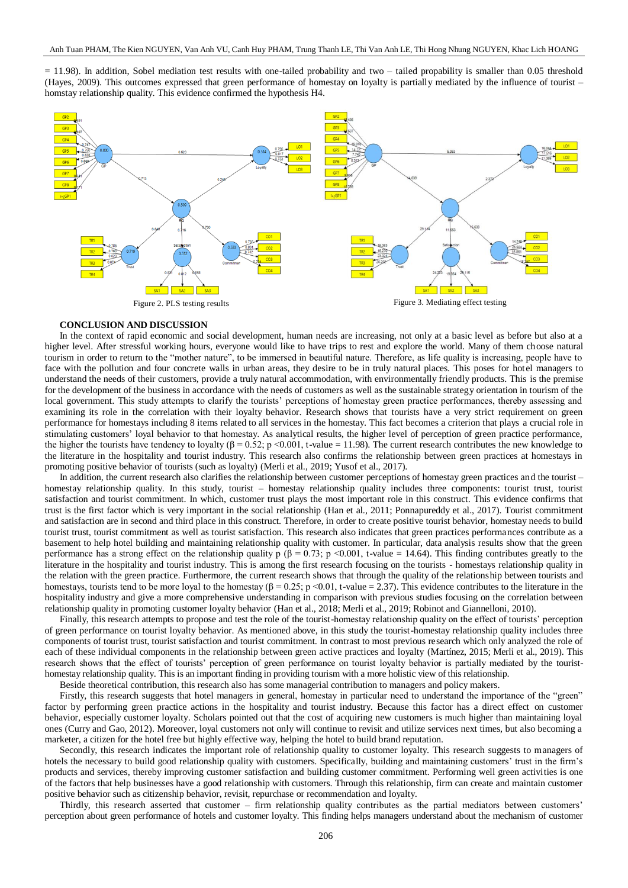$= 11.98$ ). In addition, Sobel mediation test results with one-tailed probability and two – tailed propability is smaller than 0.05 threshold [\(Hayes, 2009\)](#page-5-27). This outcomes expressed that green performance of homestay on loyalty is partially mediated by the influence of tourist – homstay relationship quality. This evidence confirmed the hypothesis H4.



#### **CONCLUSION AND DISCUSSION**

In the context of rapid economic and social development, human needs are increasing, not only at a basic level as before but also at a higher level. After stressful working hours, everyone would like to have trips to rest and explore the world. Many of them choose natural tourism in order to return to the "mother nature", to be immersed in beautiful nature. Therefore, as life quality is increasing, people have to face with the pollution and four concrete walls in urban areas, they desire to be in truly natural places. This poses for hotel managers to understand the needs of their customers, provide a truly natural accommodation, with environmentally friendly products. This is the premise for the development of the business in accordance with the needs of customers as well as the sustainable strategy orientation in tourism of the local government. This study attempts to clarify the tourists' perceptions of homestay green practice performances, thereby assessing and examining its role in the correlation with their loyalty behavior. Research shows that tourists have a very strict requirement on green performance for homestays including 8 items related to all services in the homestay. This fact becomes a criterion that plays a crucial role in stimulating customers' loyal behavior to that homestay. As analytical results, the higher level of perception of green practice performance, the higher the tourists have tendency to loyalty (β = 0.52; p <0.001, t-value = 11.98). The current research contributes the new knowledge to the literature in the hospitality and tourist industry. This research also confirms the relationship between green practices at homestays in promoting positive behavior of tourists (such as loyalty) [\(Merli et al., 2019;](#page-5-2) [Yusof et al., 2017\)](#page-6-0).

In addition, the current research also clarifies the relationship between customer perceptions of homestay green practices and the tourist – homestay relationship quality. In this study, tourist – homestay relationship quality includes three components: tourist trust, tourist satisfaction and tourist commitment. In which, customer trust plays the most important role in this construct. This evidence confirms that trust is the first factor which is very important in the social relationship [\(Han et al., 2011;](#page-5-11) [Ponnapureddy et al., 2017\)](#page-6-14). Tourist commitment and satisfaction are in second and third place in this construct. Therefore, in order to create positive tourist behavior, homestay needs to build tourist trust, tourist commitment as well as tourist satisfaction. This research also indicates that green practices performances contribute as a basement to help hotel building and maintaining relationship quality with customer. In particular, data analysis results show that the green performance has a strong effect on the relationship quality  $p(\beta = 0.73; p < 0.001, t-value = 14.64)$ . This finding contributes greatly to the literature in the hospitality and tourist industry. This is among the first research focusing on the tourists - homestays relationship quality in the relation with the green practice. Furthermore, the current research shows that through the quality of the relationship between tourists and homestays, tourists tend to be more loyal to the homestay ( $\beta = 0.25$ ; p <0.01, t-value = 2.37). This evidence contributes to the literature in the hospitality industry and give a more comprehensive understanding in comparison with previous studies focusing on the correlation between relationship quality in promoting customer loyalty behavior [\(Han et al., 2018;](#page-5-0) [Merli et al., 2019;](#page-5-2) Robinot and [Giannelloni, 2010\)](#page-6-12).

Finally, this research attempts to propose and test the role of the tourist-homestay relationship quality on the effect of tourists' perception of green performance on tourist loyalty behavior. As mentioned above, in this study the tourist-homestay relationship quality includes three components of tourist trust, tourist satisfaction and tourist commitment. In contrast to most previous research which only analyzed the role of each of these individual components in the relationship between green active practices and loyalty [\(Martínez, 2015;](#page-5-1) [Merli et al., 2019\)](#page-5-2). This research shows that the effect of tourists' perception of green performance on tourist loyalty behavior is partially mediated by the touristhomestay relationship quality. This is an important finding in providing tourism with a more holistic view of this relationship.

Beside theoretical contribution, this research also has some managerial contribution to managers and policy makers.

Firstly, this research suggests that hotel managers in general, homestay in particular need to understand the importance of the "green" factor by performing green practice actions in the hospitality and tourist industry. Because this factor has a direct effect on customer behavior, especially customer loyalty. Scholars pointed out that the cost of acquiring new customers is much higher than maintaining loyal ones (Curry and [Gao, 2012\)](#page-5-18). Moreover, loyal customers not only will continue to revisit and utilize services next times, but also becoming a marketer, a citizen for the hotel free but highly effective way, helping the hotel to build brand reputation.

Secondly, this research indicates the important role of relationship quality to customer loyalty. This research suggests to managers of hotels the necessary to build good relationship quality with customers. Specifically, building and maintaining customers' trust in the firm's products and services, thereby improving customer satisfaction and building customer commitment. Performing well green activities is one of the factors that help businesses have a good relationship with customers. Through this relationship, firm can create and maintain customer positive behavior such as citizenship behavior, revisit, repurchase or recommendation and loyalty.

Thirdly, this research asserted that customer – firm relationship quality contributes as the partial mediators between customers' perception about green performance of hotels and customer loyalty. This finding helps managers understand about the mechanism of customer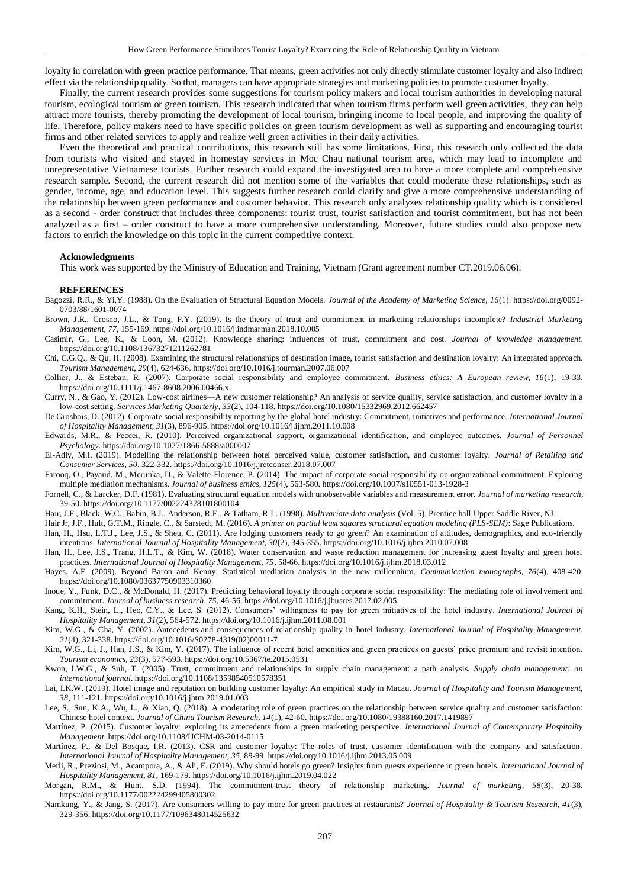loyalty in correlation with green practice performance. That means, green activities not only directly stimulate customer loyalty and also indirect effect via the relationship quality. So that, managers can have appropriate strategies and marketing policies to promote customer loyalty.

Finally, the current research provides some suggestions for tourism policy makers and local tourism authorities in developing natural tourism, ecological tourism or green tourism. This research indicated that when tourism firms perform well green activities, they can help attract more tourists, thereby promoting the development of local tourism, bringing income to local people, and improving the quality of life. Therefore, policy makers need to have specific policies on green tourism development as well as supporting and encouraging tourist firms and other related services to apply and realize well green activities in their daily activities.

Even the theoretical and practical contributions, this research still has some limitations. First, this research only collect ed the data from tourists who visited and stayed in homestay services in Moc Chau national tourism area, which may lead to incomplete and unrepresentative Vietnamese tourists. Further research could expand the investigated area to have a more complete and compreh ensive research sample. Second, the current research did not mention some of the variables that could moderate these relationships, such as gender, income, age, and education level. This suggests further research could clarify and give a more comprehensive understanding of the relationship between green performance and customer behavior. This research only analyzes relationship quality which is considered as a second - order construct that includes three components: tourist trust, tourist satisfaction and tourist commitment, but has not been analyzed as a first – order construct to have a more comprehensive understanding. Moreover, future studies could also propose new factors to enrich the knowledge on this topic in the current competitive context.

#### **Acknowledgments**

<span id="page-5-25"></span>This work was supported by the Ministry of Education and Training, Vietnam (Grant agreement number CT.2019.06.06).

#### <span id="page-5-6"></span>**REFERENCES**

- Bagozzi, R.R., & Yi,Y. (1988). On the Evaluation of Structural Equation Models. *Journal of the Academy of Marketing Science, 16*(1). [https://doi.org/0092-](https://doi.org/0092-0703/88/1601-0074) [0703/88/1601-0074](https://doi.org/0092-0703/88/1601-0074)
- Brown, J.R., Crosno, J.L., & Tong, P.Y. (2019). Is the theory of trust and commitment in marketing relationships incomplete? *Industrial Marketing Management, 77*, 155-169[. https://doi.org/10.1016/j.indmarman.2018.10.005](https://doi.org/10.1016/j.indmarman.2018.10.005)
- <span id="page-5-3"></span>Casimir, G., Lee, K., & Loon, M. (2012). Knowledge sharing: influences of trust, commitment and cost. *Journal of knowledge management*. <https://doi.org/10.1108/13673271211262781>
- <span id="page-5-14"></span>Chi, C.G.Q., & Qu, H. (2008). Examining the structural relationships of destination image, tourist satisfaction and destination loyalty: An integrated approach. *Tourism Management, 29*(4), 624-636[. https://doi.org/10.1016/j.tourman.2007.06.007](https://doi.org/10.1016/j.tourman.2007.06.007)
- <span id="page-5-8"></span>Collier, J., & Esteban, R. (2007). Corporate social responsibility and employee commitment. *Business ethics: A European review, 16*(1), 19-33. <https://doi.org/10.1111/j.1467-8608.2006.00466.x>
- <span id="page-5-18"></span>Curry, N., & Gao, Y. (2012). Low-cost airlines—A new customer relationship? An analysis of service quality, service satisfaction, and customer loyalty in a low-cost setting. *Services Marketing Quarterly, 33*(2), 104-118[. https://doi.org/10.1080/15332969.2012.662457](https://doi.org/10.1080/15332969.2012.662457)
- <span id="page-5-17"></span>De Grosbois, D. (2012). Corporate social responsibility reporting by the global hotel industry: Commitment, initiatives and performance. *International Journal of Hospitality Management, 31*(3), 896-905[. https://doi.org/10.1016/j.ijhm.2011.10.008](https://doi.org/10.1016/j.ijhm.2011.10.008)
- <span id="page-5-7"></span>Edwards, M.R., & Peccei, R. (2010). Perceived organizational support, organizational identification, and employee outcomes. *Journal of Personnel Psychology*[. https://doi.org/10.1027/1866-5888/a000007](https://doi.org/10.1027/1866-5888/a000007)
- <span id="page-5-15"></span>El-Adly, M.I. (2019). Modelling the relationship between hotel perceived value, customer satisfaction, and customer loyalty. *Journal of Retailing and Consumer Services, 50*, 322-332[. https://doi.org/10.1016/j.jretconser.2018.07.007](https://doi.org/10.1016/j.jretconser.2018.07.007)
- <span id="page-5-9"></span>Farooq, O., Payaud, M., Merunka, D., & Valette-Florence, P. (2014). The impact of corporate social responsibility on organizational commitment: Exploring multiple mediation mechanisms. *Journal of business ethics, 125*(4), 563-580.<https://doi.org/10.1007/s10551-013-1928-3>
- <span id="page-5-26"></span>Fornell, C., & Larcker, D.F. (1981). Evaluating structural equation models with unobservable variables and measurement error. *Journal of marketing research*, 39-50[. https://doi.org/10.1177/002224378101800104](https://doi.org/10.1177/002224378101800104)
- <span id="page-5-23"></span>Hair, J.F., Black, W.C., Babin, B.J., Anderson, R.E., & Tatham, R.L. (1998). *Multivariate data analysis* (Vol. 5), Prentice hall Upper Saddle River, NJ.
- <span id="page-5-24"></span>Hair Jr, J.F., Hult, G.T.M., Ringle, C., & Sarstedt, M. (2016). *A primer on partial least squares structural equation modeling (PLS-SEM)*: Sage Publications.
- <span id="page-5-11"></span>Han, H., Hsu, L.T.J., Lee, J.S., & Sheu, C. (2011). Are lodging customers ready to go green? An examination of attitudes, demographics, and eco-friendly intentions. *International Journal of Hospitality Management, 30*(2), 345-355.<https://doi.org/10.1016/j.ijhm.2010.07.008>
- <span id="page-5-0"></span>Han, H., Lee, J.S., Trang, H.L.T., & Kim, W. (2018). Water conservation and waste reduction management for increasing guest loyalty and green hotel practices. *International Journal of Hospitality Management, 75*, 58-66[. https://doi.org/10.1016/j.ijhm.2018.03.012](https://doi.org/10.1016/j.ijhm.2018.03.012)
- <span id="page-5-27"></span>Hayes, A.F. (2009). Beyond Baron and Kenny: Statistical mediation analysis in the new millennium. *Communication monographs, 76*(4), 408-420. <https://doi.org/10.1080/03637750903310360>
- <span id="page-5-21"></span>Inoue, Y., Funk, D.C., & McDonald, H. (2017). Predicting behavioral loyalty through corporate social responsibility: The mediating role of involvement and commitment. *Journal of business research, 75*, 46-56[. https://doi.org/10.1016/j.jbusres.2017.02.005](https://doi.org/10.1016/j.jbusres.2017.02.005)
- <span id="page-5-13"></span>Kang, K.H., Stein, L., Heo, C.Y., & Lee, S. (2012). Consumers' willingness to pay for green initiatives of the hotel industry. *International Journal of Hospitality Management, 31*(2), 564-572[. https://doi.org/10.1016/j.ijhm.2011.08.001](https://doi.org/10.1016/j.ijhm.2011.08.001)
- <span id="page-5-19"></span>Kim, W.G., & Cha, Y. (2002). Antecedents and consequences of relationship quality in hotel industry. *International Journal of Hospitality Management, 21*(4), 321-338[. https://doi.org/10.1016/S0278-4319\(02\)00011-7](https://doi.org/10.1016/S0278-4319(02)00011-7)
- <span id="page-5-12"></span>Kim, W.G., Li, J., Han, J.S., & Kim, Y. (2017). The influence of recent hotel amenities and green practices on guests' price premium and revisit intention. *Tourism economics, 23*(3), 577-593[. https://doi.org/10.5367/te.2015.0531](https://doi.org/10.5367/te.2015.0531)
- <span id="page-5-5"></span>Kwon, I.W.G., & Suh, T. (2005). Trust, commitment and relationships in supply chain management: a path analysis. *Supply chain management: an international journal*[. https://doi.org/10.1108/13598540510578351](https://doi.org/10.1108/13598540510578351)
- <span id="page-5-16"></span>Lai, I.K.W. (2019). Hotel image and reputation on building customer loyalty: An empirical study in Macau. *Journal of Hospitality and Tourism Management, 38*, 111-121[. https://doi.org/10.1016/j.jhtm.2019.01.003](https://doi.org/10.1016/j.jhtm.2019.01.003)
- <span id="page-5-22"></span>Lee, S., Sun, K.A., Wu, L., & Xiao, Q. (2018). A moderating role of green practices on the relationship between service quality and customer sa tisfaction: Chinese hotel context. *Journal of China Tourism Research, 14*(1), 42-60[. https://doi.org/10.1080/19388160.2017.1419897](https://doi.org/10.1080/19388160.2017.1419897)
- <span id="page-5-1"></span>Martínez, P. (2015). Customer loyalty: exploring its antecedents from a green marketing perspective. *International Journal of Contemporary Hospitality Management*[. https://doi.org/10.1108/IJCHM-03-2014-0115](https://doi.org/10.1108/IJCHM-03-2014-0115)
- <span id="page-5-20"></span>Martínez, P., & Del Bosque, I.R. (2013). CSR and customer loyalty: The roles of trust, customer identification with the company and satisfaction. *International Journal of Hospitality Management, 35*, 89-99[. https://doi.org/10.1016/j.ijhm.2013.05.009](https://doi.org/10.1016/j.ijhm.2013.05.009)
- <span id="page-5-2"></span>Merli, R., Preziosi, M., Acampora, A., & Ali, F. (2019). Why should hotels go green? Insights from guests experience in green hotels. *International Journal of Hospitality Management, 81*, 169-179[. https://doi.org/10.1016/j.ijhm.2019.04.022](https://doi.org/10.1016/j.ijhm.2019.04.022)
- <span id="page-5-4"></span>Morgan, R.M., & Hunt, S.D. (1994). The commitment-trust theory of relationship marketing. *Journal of marketing, 58*(3), 20-38. <https://doi.org/10.1177/002224299405800302>
- <span id="page-5-10"></span>Namkung, Y., & Jang, S. (2017). Are consumers willing to pay more for green practices at restaurants? *Journal of Hospitality & Tourism Research, 41*(3), 329-356[. https://doi.org/10.1177/1096348014525632](https://doi.org/10.1177/1096348014525632)